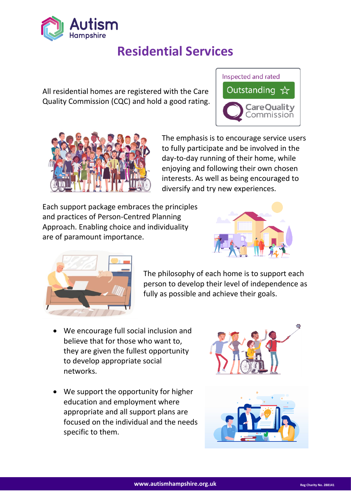

# **Residential Services**

All residential homes are registered with the Care Quality Commission (CQC) and hold a good rating.





The emphasis is to encourage service users to fully participate and be involved in the day-to-day running of their home, while enjoying and following their own chosen interests. As well as being encouraged to diversify and try new experiences.

Each support package embraces the principles and practices of Person-Centred Planning Approach. Enabling choice and individuality are of paramount importance.





The philosophy of each home is to support each person to develop their level of independence as fully as possible and achieve their goals.

- We encourage full social inclusion and believe that for those who want to, they are given the fullest opportunity to develop appropriate social networks.
- We support the opportunity for higher education and employment where appropriate and all support plans are focused on the individual and the needs specific to them.



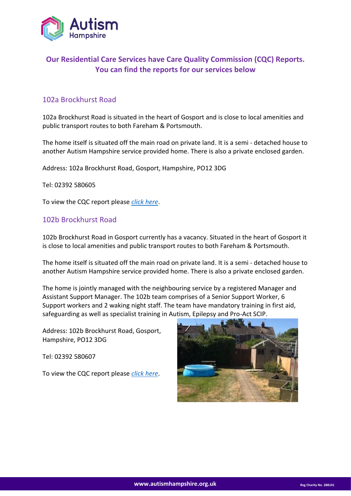

# **Our Residential Care Services have Care Quality Commission (CQC) Reports. You can find the reports for our services below**

## 102a Brockhurst Road

102a Brockhurst Road is situated in the heart of Gosport and is close to local amenities and public transport routes to both Fareham & Portsmouth.

The home itself is situated off the main road on private land. It is a semi - detached house to another Autism Hampshire service provided home. There is also a private enclosed garden.

Address: 102a Brockhurst Road, Gosport, Hampshire, PO12 3DG

Tel: 02392 580605

To view the CQC report please *[click here](https://www.cqc.org.uk/location/1-124241828?referer=widget3)*.

#### 102b Brockhurst Road

102b Brockhurst Road in Gosport currently has a vacancy. Situated in the heart of Gosport it is close to local amenities and public transport routes to both Fareham & Portsmouth.

The home itself is situated off the main road on private land. It is a semi - detached house to another Autism Hampshire service provided home. There is also a private enclosed garden.

The home is jointly managed with the neighbouring service by a registered Manager and Assistant Support Manager. The 102b team comprises of a Senior Support Worker, 6 Support workers and 2 waking night staff. The team have mandatory training in first aid, safeguarding as well as specialist training in Autism, Epilepsy and Pro-Act SCIP.

Address: 102b Brockhurst Road, Gosport, Hampshire, PO12 3DG

Tel: 02392 580607

To view the CQC report please *[click here](https://www.cqc.org.uk/location/1-124241844?referer=widget3)*.